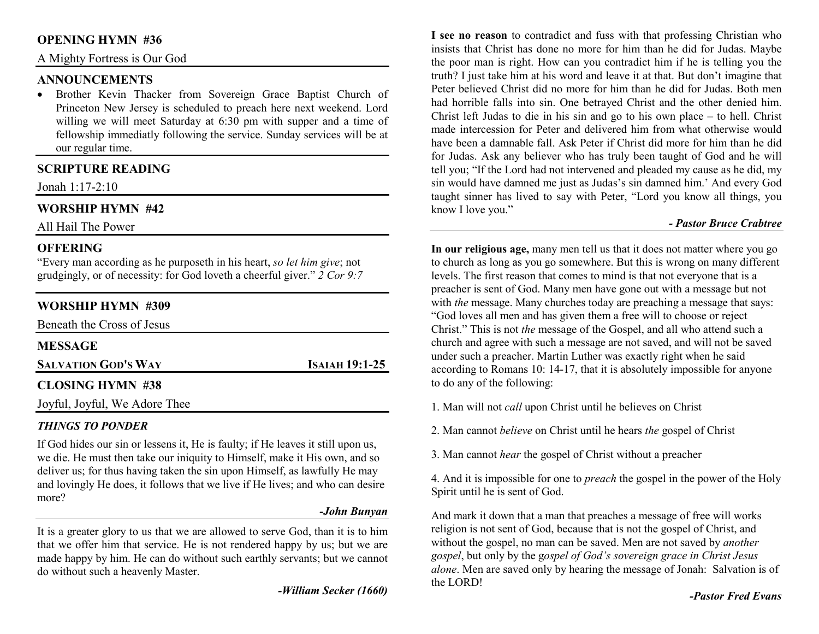## **OPENING HYMN #36**

A Mighty Fortress is Our God

### **ANNOUNCEMENTS**

 Brother Kevin Thacker from Sovereign Grace Baptist Church of •Princeton New Jersey is scheduled to preach here next weekend. Lord willing we will meet Saturday at 6:30 pm with supper and a time of fellowship immediatly following the service. Sunday services will be at our regular time.

# **SCRIPTURE READING**

Jonah 1:17-2:10

# **WORSHIP HYMN #42**

All Hail The Power

## **OFFERING**

 "Every man according as he purposeth in his heart, *so let him give*; not grudgingly, or of necessity: for God loveth a cheerful giver." *2 Cor 9:7*

# **WORSHIP HYMN #309**

| Beneath the Cross of Jesus    |                       |
|-------------------------------|-----------------------|
| <b>MESSAGE</b>                |                       |
| <b>SALVATION GOD'S WAY</b>    | <b>ISAIAH 19:1-25</b> |
| <b>CLOSING HYMN #38</b>       |                       |
| Joyful, Joyful, We Adore Thee |                       |

# *THINGS TO PONDER*

 If God hides our sin or lessens it, He is faulty; if He leaves it still upon us, we die. He must then take our iniquity to Himself, make it His own, and so deliver us; for thus having taken the sin upon Himself, as lawfully He may and lovingly He does, it follows that we live if He lives; and who can desire more?

#### *-John Bunyan*

It is a greater glory to us that we are allowed to serve God, than it is to him that we offer him that service. He is not rendered happy by us; but we are made happy by him. He can do without such earthly servants; but we cannot do without such a heavenly Master.

*-William Secker (1660)* 

**I see no reason** to contradict and fuss with that professing Christian who insists that Christ has done no more for him than he did for Judas. Maybe the poor man is right. How can you contradict him if he is telling you the truth? I just take him at his word and leave it at that. But don't imagine that Peter believed Christ did no more for him than he did for Judas. Both men had horrible falls into sin. One betrayed Christ and the other denied him. Christ left Judas to die in his sin and go to his own place – to hell. Christ made intercession for Peter and delivered him from what otherwise would have been a damnable fall. Ask Peter if Christ did more for him than he did for Judas. Ask any believer who has truly been taught of God and he will tell you; "If the Lord had not intervened and pleaded my cause as he did, my sin would have damned me just as Judas's sin damned him.' And every God taught sinner has lived to say with Peter, "Lord you know all things, you know I love you."

#### *- Pastor Bruce Crabtree*

**In our religious age,** many men tell us that it does not matter where you go to church as long as you go somewhere. But this is wrong on many different levels. The first reason that comes to mind is that not everyone that is a preacher is sent of God. Many men have gone out with a message but not with *the* message. Many churches today are preaching a message that says: "God loves all men and has given them a free will to choose or reject Christ." This is not *the* message of the Gospel, and all who attend such a church and agree with such a message are not saved, and will not be saved under such a preacher. Martin Luther was exactly right when he said according to Romans 10: 14-17, that it is absolutely impossible for anyone to do any of the following:

- 1. Man will not *call* upon Christ until he believes on Christ
- 2. Man cannot *believe* on Christ until he hears *the* gospel of Christ
- 3. Man cannot *hear* the gospel of Christ without a preacher

4. And it is impossible for one to *preach* the gospel in the power of the Holy Spirit until he is sent of God.

And mark it down that a man that preaches a message of free will works religion is not sent of God, because that is not the gospel of Christ, and without the gospel, no man can be saved. Men are not saved by *another gospel*, but only by the g*ospel of God's sovereign grace in Christ Jesus alone*. Men are saved only by hearing the message of Jonah: Salvation is of the LORD!